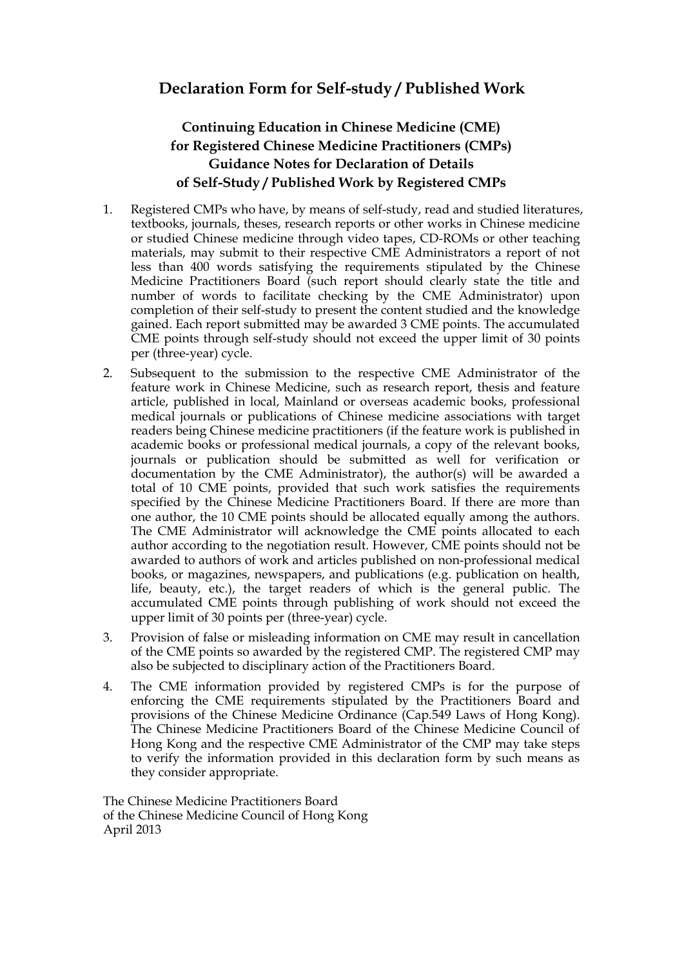## **Declaration Form for Self-study / Published Work**

## **Continuing Education in Chinese Medicine (CME) for Registered Chinese Medicine Practitioners (CMPs) Guidance Notes for Declaration of Details of Self-Study / Published Work by Registered CMPs**

- 1. Registered CMPs who have, by means of self-study, read and studied literatures, textbooks, journals, theses, research reports or other works in Chinese medicine or studied Chinese medicine through video tapes, CD-ROMs or other teaching materials, may submit to their respective CME Administrators a report of not less than 400 words satisfying the requirements stipulated by the Chinese Medicine Practitioners Board (such report should clearly state the title and number of words to facilitate checking by the CME Administrator) upon completion of their self-study to present the content studied and the knowledge gained. Each report submitted may be awarded 3 CME points. The accumulated CME points through self-study should not exceed the upper limit of 30 points per (three-year) cycle.
- article, published in local, Mainland or overseas academic books, professional total of 10 CME points, provided that such work satisfies the requirements author according to the negotiation result. However, CME points should not be upper limit of 30 points per (three-year) cycle. 2. Subsequent to the submission to the respective CME Administrator of the feature work in Chinese Medicine, such as research report, thesis and feature medical journals or publications of Chinese medicine associations with target readers being Chinese medicine practitioners (if the feature work is published in academic books or professional medical journals, a copy of the relevant books, journals or publication should be submitted as well for verification or documentation by the CME Administrator), the author(s) will be awarded a specified by the Chinese Medicine Practitioners Board. If there are more than one author, the 10 CME points should be allocated equally among the authors. The CME Administrator will acknowledge the CME points allocated to each awarded to authors of work and articles published on non-professional medical books, or magazines, newspapers, and publications (e.g. publication on health, life, beauty, etc.), the target readers of which is the general public. The accumulated CME points through publishing of work should not exceed the
- 3. Provision of false or misleading information on CME may result in cancellation of the CME points so awarded by the registered CMP. The registered CMP may also be subjected to disciplinary action of the Practitioners Board.
- enforcing the CME requirements stipulated by the Practitioners Board and 4. The CME information provided by registered CMPs is for the purpose of provisions of the Chinese Medicine Ordinance (Cap.549 Laws of Hong Kong). The Chinese Medicine Practitioners Board of the Chinese Medicine Council of Hong Kong and the respective CME Administrator of the CMP may take steps to verify the information provided in this declaration form by such means as they consider appropriate.

 April 2013 The Chinese Medicine Practitioners Board of the Chinese Medicine Council of Hong Kong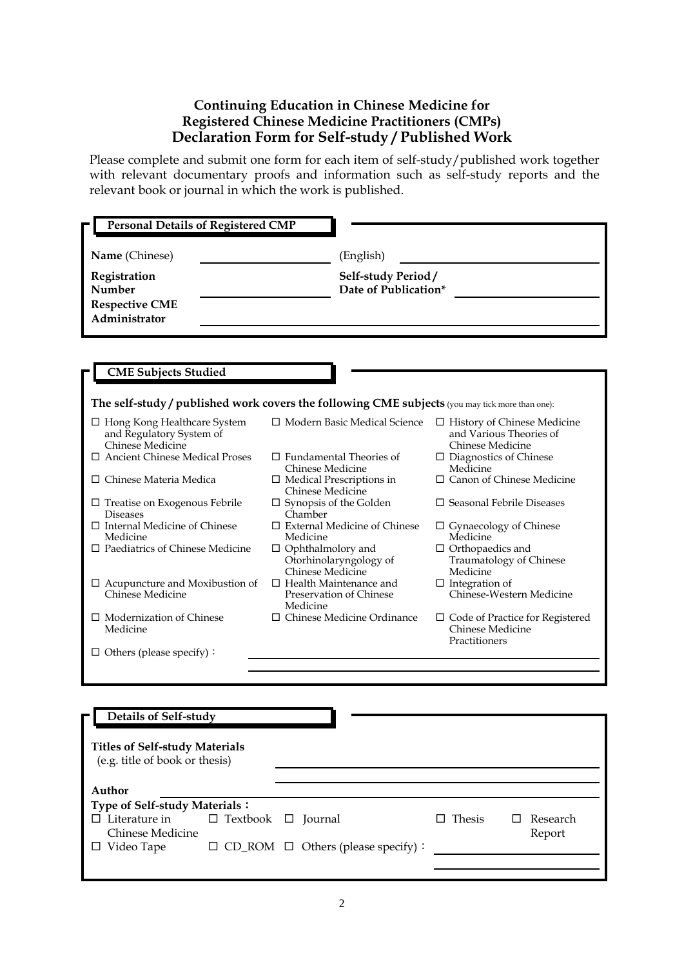## **Continuing Education in Chinese Medicine for Registered Chinese Medicine Practitioners (CMPs) Declaration Form for Self-study / Published Work**

Please complete and submit one form for each item of self-study/published work together with relevant documentary proofs and information such as self-study reports and the relevant book or journal in which the work is published.

| Name (Chinese)<br>Registration<br>Number<br><b>Respective CME</b><br>Administrator                                                                      | (English)<br>Self-study Period/<br>Date of Publication*                                                                                                                  |                                                                                                                                                               |
|---------------------------------------------------------------------------------------------------------------------------------------------------------|--------------------------------------------------------------------------------------------------------------------------------------------------------------------------|---------------------------------------------------------------------------------------------------------------------------------------------------------------|
| <b>CME Subjects Studied</b>                                                                                                                             |                                                                                                                                                                          |                                                                                                                                                               |
| The self-study / published work covers the following CME subjects (you may tick more than one):                                                         |                                                                                                                                                                          |                                                                                                                                                               |
| □ Hong Kong Healthcare System<br>and Regulatory System of<br>Chinese Medicine<br>$\Box$ Ancient Chinese Medical Proses<br>$\Box$ Chinese Materia Medica | □ Modern Basic Medical Science<br>$\Box$ Fundamental Theories of<br>Chinese Medicine<br>$\Box$ Medical Prescriptions in<br>Chinese Medicine                              | $\Box$ History of Chinese Medicine<br>and Various Theories of<br>Chinese Medicine<br>$\Box$ Diagnostics of Chinese<br>Medicine<br>□ Canon of Chinese Medicine |
| $\Box$ Treatise on Exogenous Febrile<br><b>Diseases</b><br>$\Box$ Internal Medicine of Chinese<br>Medicine<br>$\Box$ Paediatrics of Chinese Medicine    | $\square$ Synopsis of the Golden<br>Chamber<br>$\Box$ External Medicine of Chinese<br>Medicine<br>$\Box$ Ophthalmolory and<br>Otorhinolaryngology of<br>Chinese Medicine | $\Box$ Seasonal Febrile Diseases<br>$\Box$ Gynaecology of Chinese<br>Medicine<br>$\Box$ Orthopaedics and<br>Traumatology of Chinese<br>Medicine               |
| $\Box$ Acupuncture and Moxibustion of<br>Chinese Medicine                                                                                               | $\Box$ Health Maintenance and<br>Preservation of Chinese<br>Medicine                                                                                                     | $\Box$ Integration of<br>Chinese-Western Medicine                                                                                                             |
| $\Box$ Modernization of Chinese<br>Medicine<br>$\Box$ Others (please specify):                                                                          | $\Box$ Chinese Medicine Ordinance                                                                                                                                        | $\Box$ Code of Practice for Registered<br>Chinese Medicine<br>Practitioners                                                                                   |
|                                                                                                                                                         |                                                                                                                                                                          |                                                                                                                                                               |
| Details of Self-study                                                                                                                                   |                                                                                                                                                                          |                                                                                                                                                               |

| Author                        |                                |                                                |               |                 |
|-------------------------------|--------------------------------|------------------------------------------------|---------------|-----------------|
| Type of Self-study Materials: |                                |                                                |               |                 |
| $\Box$ Literature in          | $\Box$ Textbook $\Box$ Journal |                                                | $\Box$ Thesis | $\Box$ Research |
| Chinese Medicine              |                                |                                                |               | Report          |
| $\Box$ Video Tape             |                                | $\Box$ CD_ROM $\Box$ Others (please specify) : |               |                 |